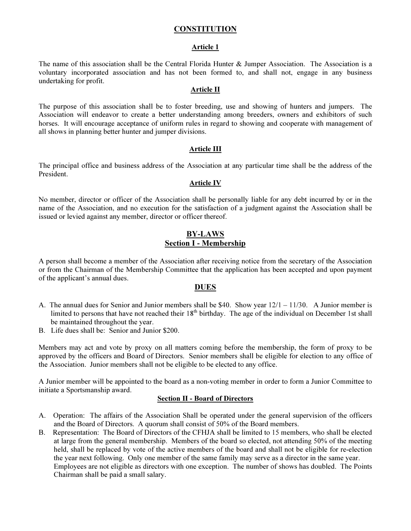# **CONSTITUTION**

#### Article 1

The name of this association shall be the Central Florida Hunter & Jumper Association. The Association is a voluntary incorporated association and has not been formed to, and shall not, engage in any business undertaking for profit.

#### Article II

The purpose of this association shall be to foster breeding, use and showing of hunters and jumpers. The Association will endeavor to create a better understanding among breeders, owners and exhibitors of such horses. It will encourage acceptance of uniform rules in regard to showing and cooperate with management of all shows in planning better hunter and jumper divisions.

#### Article III

The principal office and business address of the Association at any particular time shall be the address of the President.

#### Article IV

No member, director or officer of the Association shall be personally liable for any debt incurred by or in the name of the Association, and no execution for the satisfaction of a judgment against the Association shall be issued or levied against any member, director or officer thereof.

# BY-LAWS Section I - Membership

A person shall become a member of the Association after receiving notice from the secretary of the Association or from the Chairman of the Membership Committee that the application has been accepted and upon payment of the applicant's annual dues.

# **DUES**

- A. The annual dues for Senior and Junior members shall be \$40. Show year  $12/1 11/30$ . A Junior member is limited to persons that have not reached their  $18<sup>th</sup>$  birthday. The age of the individual on December 1st shall be maintained throughout the year.
- B. Life dues shall be: Senior and Junior \$200.

Members may act and vote by proxy on all matters coming before the membership, the form of proxy to be approved by the officers and Board of Directors. Senior members shall be eligible for election to any office of the Association. Junior members shall not be eligible to be elected to any office.

A Junior member will be appointed to the board as a non-voting member in order to form a Junior Committee to initiate a Sportsmanship award.

#### Section II - Board of Directors

- A. Operation: The affairs of the Association Shall be operated under the general supervision of the officers and the Board of Directors. A quorum shall consist of 50% of the Board members.
- B. Representation: The Board of Directors of the CFHJA shall be limited to 15 members, who shall be elected at large from the general membership. Members of the board so elected, not attending 50% of the meeting held, shall be replaced by vote of the active members of the board and shall not be eligible for re-election the year next following. Only one member of the same family may serve as a director in the same year. Employees are not eligible as directors with one exception. The number of shows has doubled. The Points Chairman shall be paid a small salary.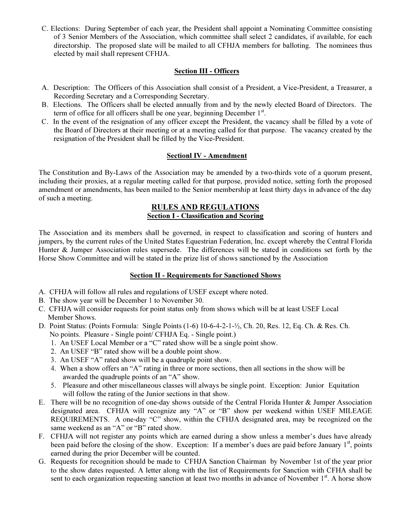C. Elections: During September of each year, the President shall appoint a Nominating Committee consisting of 3 Senior Members of the Association, which committee shall select 2 candidates, if available, for each directorship. The proposed slate will be mailed to all CFHJA members for balloting. The nominees thus elected by mail shall represent CFHJA.

# Section III - Officers

- A. Description: The Officers of this Association shall consist of a President, a Vice-President, a Treasurer, a Recording Secretary and a Corresponding Secretary.
- B. Elections. The Officers shall be elected annually from and by the newly elected Board of Directors. The term of office for all officers shall be one year, beginning December  $1<sup>st</sup>$ .
- C. In the event of the resignation of any officer except the President, the vacancy shall be filled by a vote of the Board of Directors at their meeting or at a meeting called for that purpose. The vacancy created by the resignation of the President shall be filled by the Vice-President.

# Sectionl IV - Amendment

The Constitution and By-Laws of the Association may be amended by a two-thirds vote of a quorum present, including their proxies, at a regular meeting called for that purpose, provided notice, setting forth the proposed amendment or amendments, has been mailed to the Senior membership at least thirty days in advance of the day of such a meeting.

## RULES AND REGULATIONS Section I - Classification and Scoring

The Association and its members shall be governed, in respect to classification and scoring of hunters and jumpers, by the current rules of the United States Equestrian Federation, Inc. except whereby the Central Florida Hunter & Jumper Association rules supersede. The differences will be stated in conditions set forth by the Horse Show Committee and will be stated in the prize list of shows sanctioned by the Association

### Section II - Requirements for Sanctioned Shows

- A. CFHJA will follow all rules and regulations of USEF except where noted.
- B. The show year will be December 1 to November 30.
- C. CFHJA will consider requests for point status only from shows which will be at least USEF Local Member Shows.
- D. Point Status: (Points Formula: Single Points (1-6) 10-6-4-2-1-½, Ch. 20, Res. 12, Eq. Ch. & Res. Ch. No points. Pleasure - Single point/ CFHJA Eq. - Single point.)
	- 1. An USEF Local Member or a "C" rated show will be a single point show.
	- 2. An USEF "B" rated show will be a double point show.
	- 3. An USEF "A" rated show will be a quadruple point show.
	- 4. When a show offers an "A" rating in three or more sections, then all sections in the show will be awarded the quadruple points of an "A" show.
	- 5. Pleasure and other miscellaneous classes will always be single point. Exception: Junior Equitation will follow the rating of the Junior sections in that show.
- E. There will be no recognition of one-day shows outside of the Central Florida Hunter & Jumper Association designated area. CFHJA will recognize any "A" or "B" show per weekend within USEF MILEAGE REQUIREMENTS. A one-day "C" show, within the CFHJA designated area, may be recognized on the same weekend as an "A" or "B" rated show.
- F. CFHJA will not register any points which are earned during a show unless a member's dues have already been paid before the closing of the show. Exception: If a member's dues are paid before January  $1<sup>st</sup>$ , points earned during the prior December will be counted.
- G. Requests for recognition should be made to CFHJA Sanction Chairman by November 1st of the year prior to the show dates requested. A letter along with the list of Requirements for Sanction with CFHA shall be sent to each organization requesting sanction at least two months in advance of November  $1<sup>st</sup>$ . A horse show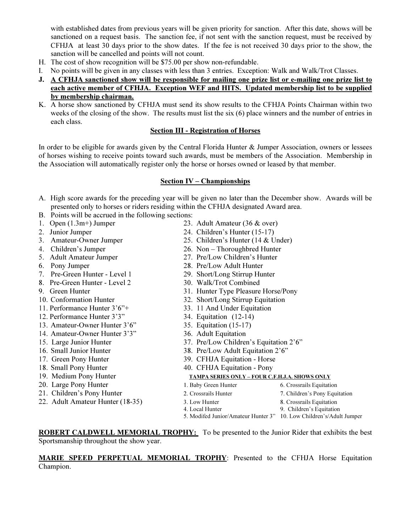with established dates from previous years will be given priority for sanction. After this date, shows will be sanctioned on a request basis. The sanction fee, if not sent with the sanction request, must be received by CFHJA at least 30 days prior to the show dates. If the fee is not received 30 days prior to the show, the sanction will be cancelled and points will not count.

- H. The cost of show recognition will be \$75.00 per show non-refundable.
- I. No points will be given in any classes with less than 3 entries. Exception: Walk and Walk/Trot Classes.
- J. A CFHJA sanctioned show will be responsible for mailing one prize list or e-mailing one prize list to each active member of CFHJA. Exception WEF and HITS. Updated membership list to be supplied by membership chairman.
- K. A horse show sanctioned by CFHJA must send its show results to the CFHJA Points Chairman within two weeks of the closing of the show. The results must list the six (6) place winners and the number of entries in each class.

### Section III - Registration of Horses

In order to be eligible for awards given by the Central Florida Hunter & Jumper Association, owners or lessees of horses wishing to receive points toward such awards, must be members of the Association. Membership in the Association will automatically register only the horse or horses owned or leased by that member.

### Section IV – Championships

- A. High score awards for the preceding year will be given no later than the December show. Awards will be presented only to horses or riders residing within the CFHJA designated Award area.
- B. Points will be accrued in the following sections:
- 1. Open (1.3m+) Jumper 23. Adult Amateur (36 & over) 2. Junior Jumper 24. Children's Hunter (15-17)
	-
- 
- 
- 
- 
- 
- 
- 
- 
- 12. Performance Hunter 3'3" 34. Equitation (12-14)
- 13. Amateur-Owner Hunter 3'6" 35. Equitation (15-17)
- 14. Amateur-Owner Hunter 3'3" 36. Adult Equitation
- 
- 
- 
- 18. Small Pony Hunter 40. CFHJA Equitation Pony
- 
- 20. Large Pony Hunter
- 21. Children's Pony Hunter
- 22. Adult Amateur Hunter (18-35).
- 
- 
- 3. Amateur-Owner Jumper 25. Children's Hunter (14 & Under)
- 4. Children's Jumper 26. Non Thoroughbred Hunter
- 5. Adult Amateur Jumper 27. Pre/Low Children's Hunter<br>6. Pony Jumper 28. Pre/Low Adult Hunter
	- 28. Pre/Low Adult Hunter
- 7. Pre-Green Hunter Level 1 29. Short/Long Stirrup Hunter
- 8. Pre-Green Hunter Level 2 30. Walk/Trot Combined
- 9. Green Hunter 31. Hunter Type Pleasure Horse/Pony
- 10. Conformation Hunter 32. Short/Long Stirrup Equitation
- 11. Performance Hunter 3'6"+ 33. 11 And Under Equitation
	-
	-
	-
- 15. Large Junior Hunter 37. Pre/Low Children's Equitation 2'6"
- 16. Small Junior Hunter 38. Pre/Low Adult Equitation 2'6"
- 17. Green Pony Hunter 39. CFHJA Equitation Horse
	-

### 19. Medium Pony Hunter TAMPA SERIES ONLY – FOUR C.F.H.J.A. SHOWS ONLY

| Large Pony Hunter            | 1. Baby Green Hunter | 6. Crossrails Equitation      |
|------------------------------|----------------------|-------------------------------|
| Children's Pony Hunter       | 2. Crossrails Hunter | 7. Children's Pony Equitation |
| Adult Amateur Hunter (18-35) | 3. Low Hunter        | 8. Crossrails Equitation      |
|                              | 4. Local Hunter      | 9. Children's Equitation      |
|                              |                      |                               |

5. Modifed Junior/Amateur Hunter 3" 10. Low Children's/Adult Jumper

ROBERT CALDWELL MEMORIAL TROPHY: To be presented to the Junior Rider that exhibits the best Sportsmanship throughout the show year.

# MARIE SPEED PERPETUAL MEMORIAL TROPHY: Presented to the CFHJA Horse Equitation Champion.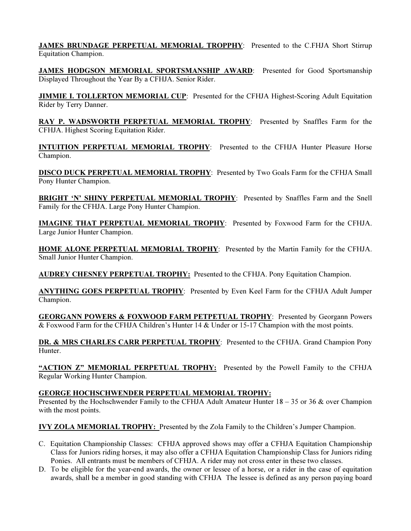JAMES BRUNDAGE PERPETUAL MEMORIAL TROPPHY: Presented to the C.FHJA Short Stirrup Equitation Champion.

JAMES HODGSON MEMORIAL SPORTSMANSHIP AWARD: Presented for Good Sportsmanship Displayed Throughout the Year By a CFHJA. Senior Rider.

**JIMMIE I. TOLLERTON MEMORIAL CUP:** Presented for the CFHJA Highest-Scoring Adult Equitation Rider by Terry Danner.

RAY P. WADSWORTH PERPETUAL MEMORIAL TROPHY: Presented by Snaffles Farm for the CFHJA. Highest Scoring Equitation Rider.

INTUITION PERPETUAL MEMORIAL TROPHY: Presented to the CFHJA Hunter Pleasure Horse Champion.

DISCO DUCK PERPETUAL MEMORIAL TROPHY: Presented by Two Goals Farm for the CFHJA Small Pony Hunter Champion.

**BRIGHT 'N' SHINY PERPETUAL MEMORIAL TROPHY:** Presented by Snaffles Farm and the Snell Family for the CFHJA. Large Pony Hunter Champion.

IMAGINE THAT PERPETUAL MEMORIAL TROPHY: Presented by Foxwood Farm for the CFHJA. Large Junior Hunter Champion.

HOME ALONE PERPETUAL MEMORIAL TROPHY: Presented by the Martin Family for the CFHJA. Small Junior Hunter Champion.

AUDREY CHESNEY PERPETUAL TROPHY: Presented to the CFHJA. Pony Equitation Champion.

ANYTHING GOES PERPETUAL TROPHY: Presented by Even Keel Farm for the CFHJA Adult Jumper Champion.

GEORGANN POWERS & FOXWOOD FARM PETPETUAL TROPHY: Presented by Georgann Powers & Foxwood Farm for the CFHJA Children's Hunter 14 & Under or 15-17 Champion with the most points.

DR. & MRS CHARLES CARR PERPETUAL TROPHY: Presented to the CFHJA. Grand Champion Pony Hunter.

"ACTION Z" MEMORIAL PERPETUAL TROPHY: Presented by the Powell Family to the CFHJA Regular Working Hunter Champion.

### GEORGE HOCHSCHWENDER PERPETUAL MEMORIAL TROPHY:

Presented by the Hochschwender Family to the CFHJA Adult Amateur Hunter 18 – 35 or 36 & over Champion with the most points.

IVY ZOLA MEMORIAL TROPHY: Presented by the Zola Family to the Children's Jumper Champion.

- C. Equitation Championship Classes: CFHJA approved shows may offer a CFHJA Equitation Championship Class for Juniors riding horses, it may also offer a CFHJA Equitation Championship Class for Juniors riding Ponies. All entrants must be members of CFHJA. A rider may not cross enter in these two classes.
- D. To be eligible for the year-end awards, the owner or lessee of a horse, or a rider in the case of equitation awards, shall be a member in good standing with CFHJA The lessee is defined as any person paying board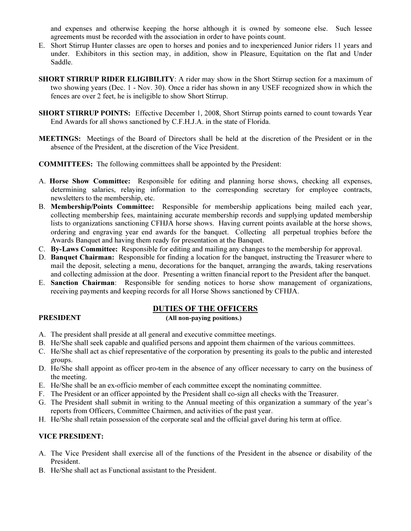and expenses and otherwise keeping the horse although it is owned by someone else. Such lessee agreements must be recorded with the association in order to have points count.

- E. Short Stirrup Hunter classes are open to horses and ponies and to inexperienced Junior riders 11 years and under. Exhibitors in this section may, in addition, show in Pleasure, Equitation on the flat and Under Saddle.
- SHORT STIRRUP RIDER ELIGIBILITY: A rider may show in the Short Stirrup section for a maximum of two showing years (Dec. 1 - Nov. 30). Once a rider has shown in any USEF recognized show in which the fences are over 2 feet, he is ineligible to show Short Stirrup.
- SHORT STIRRUP POINTS: Effective December 1, 2008, Short Stirrup points earned to count towards Year End Awards for all shows sanctioned by C.F.H.J.A. in the state of Florida.
- MEETINGS: Meetings of the Board of Directors shall be held at the discretion of the President or in the absence of the President, at the discretion of the Vice President.
- COMMITTEES: The following committees shall be appointed by the President:
- A. Horse Show Committee: Responsible for editing and planning horse shows, checking all expenses, determining salaries, relaying information to the corresponding secretary for employee contracts, newsletters to the membership, etc.
- B. Membership/Points Committee: Responsible for membership applications being mailed each year, collecting membership fees, maintaining accurate membership records and supplying updated membership lists to organizations sanctioning CFHJA horse shows. Having current points available at the horse shows, ordering and engraving year end awards for the banquet. Collecting all perpetual trophies before the Awards Banquet and having them ready for presentation at the Banquet.
- C. By-Laws Committee: Responsible for editing and mailing any changes to the membership for approval.
- D. Banquet Chairman: Responsible for finding a location for the banquet, instructing the Treasurer where to mail the deposit, selecting a menu, decorations for the banquet, arranging the awards, taking reservations and collecting admission at the door. Presenting a written financial report to the President after the banquet.
- E. Sanction Chairman: Responsible for sending notices to horse show management of organizations, receiving payments and keeping records for all Horse Shows sanctioned by CFHJA.

# DUTIES OF THE OFFICERS

## PRESIDENT (All non-paying positions.)

- 
- A. The president shall preside at all general and executive committee meetings.
- B. He/She shall seek capable and qualified persons and appoint them chairmen of the various committees.
- C. He/She shall act as chief representative of the corporation by presenting its goals to the public and interested groups.
- D. He/She shall appoint as officer pro-tem in the absence of any officer necessary to carry on the business of the meeting.
- E. He/She shall be an ex-officio member of each committee except the nominating committee.
- F. The President or an officer appointed by the President shall co-sign all checks with the Treasurer.
- G. The President shall submit in writing to the Annual meeting of this organization a summary of the year's reports from Officers, Committee Chairmen, and activities of the past year.
- H. He/She shall retain possession of the corporate seal and the official gavel during his term at office.

# VICE PRESIDENT:

- A. The Vice President shall exercise all of the functions of the President in the absence or disability of the President.
- B. He/She shall act as Functional assistant to the President.